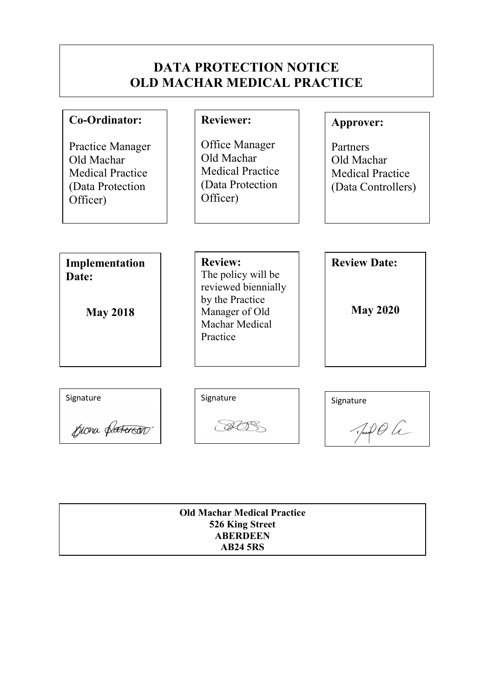# DATA PROTECTION NOTICE OLD MACHAR MEDICAL PRACTICE

| Co-Ordinator:                                                                             | <b>Reviewer:</b>                                                                                                               | Approver:                                                               |
|-------------------------------------------------------------------------------------------|--------------------------------------------------------------------------------------------------------------------------------|-------------------------------------------------------------------------|
| Practice Manager<br>Old Machar<br><b>Medical Practice</b><br>(Data Protection<br>Officer) | Office Manager<br>Old Machar<br><b>Medical Practice</b><br>(Data Protection<br>Officer)                                        | Partners<br>Old Machar<br><b>Medical Practice</b><br>(Data Controllers) |
| Implementation<br>Date:<br><b>May 2018</b>                                                | <b>Review:</b><br>The policy will be<br>reviewed biennially<br>by the Practice<br>Manager of Old<br>Machar Medical<br>Practice | <b>Review Date:</b><br><b>May 2020</b>                                  |
| Signature                                                                                 | Signature                                                                                                                      | Signature                                                               |
| piona platerson                                                                           |                                                                                                                                | $\sqrt{\sin \theta}$                                                    |

| <b>Old Machar Medical Practice</b> |  |
|------------------------------------|--|
| 526 King Street                    |  |
| <b>ABERDEEN</b>                    |  |
| <b>AB24 5RS</b>                    |  |
|                                    |  |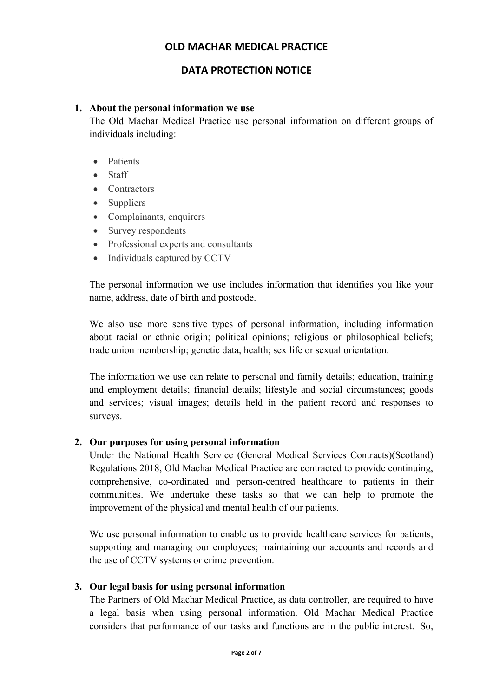# DATA PROTECTION NOTICE

#### 1. About the personal information we use

The Old Machar Medical Practice use personal information on different groups of individuals including:

- Patients
- Staff
- Contractors
- Suppliers
- Complainants, enquirers
- Survey respondents
- Professional experts and consultants
- Individuals captured by CCTV

The personal information we use includes information that identifies you like your name, address, date of birth and postcode.

We also use more sensitive types of personal information, including information about racial or ethnic origin; political opinions; religious or philosophical beliefs; trade union membership; genetic data, health; sex life or sexual orientation.

The information we use can relate to personal and family details; education, training and employment details; financial details; lifestyle and social circumstances; goods and services; visual images; details held in the patient record and responses to surveys.

## 2. Our purposes for using personal information

Under the National Health Service (General Medical Services Contracts)(Scotland) Regulations 2018, Old Machar Medical Practice are contracted to provide continuing, comprehensive, co-ordinated and person-centred healthcare to patients in their communities. We undertake these tasks so that we can help to promote the improvement of the physical and mental health of our patients.

We use personal information to enable us to provide healthcare services for patients, supporting and managing our employees; maintaining our accounts and records and the use of CCTV systems or crime prevention.

## 3. Our legal basis for using personal information

The Partners of Old Machar Medical Practice, as data controller, are required to have a legal basis when using personal information. Old Machar Medical Practice considers that performance of our tasks and functions are in the public interest. So,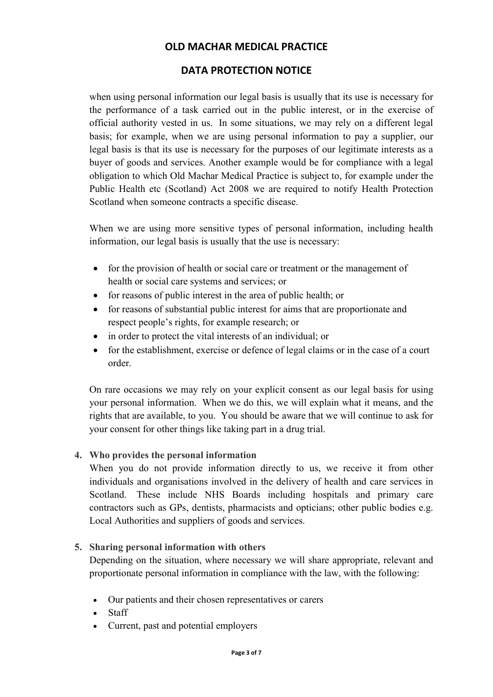# DATA PROTECTION NOTICE

when using personal information our legal basis is usually that its use is necessary for the performance of a task carried out in the public interest, or in the exercise of official authority vested in us. In some situations, we may rely on a different legal basis; for example, when we are using personal information to pay a supplier, our legal basis is that its use is necessary for the purposes of our legitimate interests as a buyer of goods and services. Another example would be for compliance with a legal obligation to which Old Machar Medical Practice is subject to, for example under the Public Health etc (Scotland) Act 2008 we are required to notify Health Protection Scotland when someone contracts a specific disease.

When we are using more sensitive types of personal information, including health information, our legal basis is usually that the use is necessary:

- for the provision of health or social care or treatment or the management of health or social care systems and services; or
- for reasons of public interest in the area of public health; or
- for reasons of substantial public interest for aims that are proportionate and respect people's rights, for example research; or
- in order to protect the vital interests of an individual; or
- for the establishment, exercise or defence of legal claims or in the case of a court order.

On rare occasions we may rely on your explicit consent as our legal basis for using your personal information. When we do this, we will explain what it means, and the rights that are available, to you. You should be aware that we will continue to ask for your consent for other things like taking part in a drug trial.

## 4. Who provides the personal information

When you do not provide information directly to us, we receive it from other individuals and organisations involved in the delivery of health and care services in Scotland. These include NHS Boards including hospitals and primary care contractors such as GPs, dentists, pharmacists and opticians; other public bodies e.g. Local Authorities and suppliers of goods and services.

## 5. Sharing personal information with others

Depending on the situation, where necessary we will share appropriate, relevant and proportionate personal information in compliance with the law, with the following:

- Our patients and their chosen representatives or carers
- Staff
- Current, past and potential employers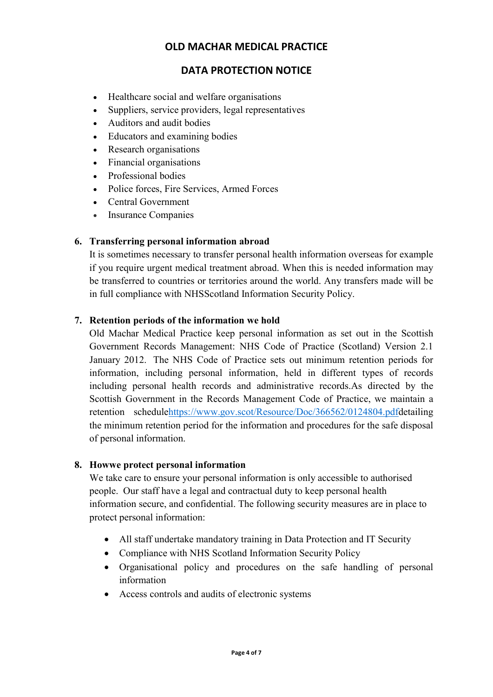# DATA PROTECTION NOTICE

- Healthcare social and welfare organisations
- Suppliers, service providers, legal representatives
- Auditors and audit bodies
- Educators and examining bodies
- Research organisations
- Financial organisations
- Professional bodies
- Police forces, Fire Services, Armed Forces
- Central Government
- Insurance Companies

## 6. Transferring personal information abroad

It is sometimes necessary to transfer personal health information overseas for example if you require urgent medical treatment abroad. When this is needed information may be transferred to countries or territories around the world. Any transfers made will be in full compliance with NHSScotland Information Security Policy.

## 7. Retention periods of the information we hold

Old Machar Medical Practice keep personal information as set out in the Scottish Government Records Management: NHS Code of Practice (Scotland) Version 2.1 January 2012. The NHS Code of Practice sets out minimum retention periods for information, including personal information, held in different types of records including personal health records and administrative records.As directed by the Scottish Government in the Records Management Code of Practice, we maintain a retention schedulehttps://www.gov.scot/Resource/Doc/366562/0124804.pdfdetailing the minimum retention period for the information and procedures for the safe disposal of personal information.

## 8. Howwe protect personal information

We take care to ensure your personal information is only accessible to authorised people. Our staff have a legal and contractual duty to keep personal health information secure, and confidential. The following security measures are in place to protect personal information:

- All staff undertake mandatory training in Data Protection and IT Security
- Compliance with NHS Scotland Information Security Policy
- Organisational policy and procedures on the safe handling of personal information
- Access controls and audits of electronic systems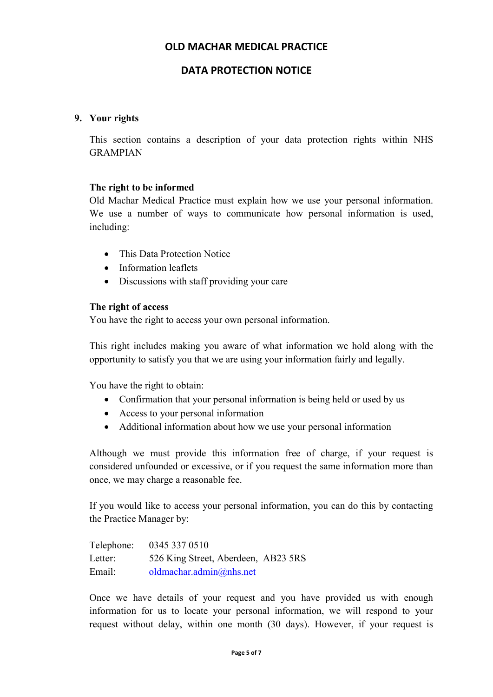# DATA PROTECTION NOTICE

#### 9. Your rights

This section contains a description of your data protection rights within NHS GRAMPIAN

#### The right to be informed

Old Machar Medical Practice must explain how we use your personal information. We use a number of ways to communicate how personal information is used, including:

- This Data Protection Notice
- Information leaflets
- Discussions with staff providing your care

#### The right of access

You have the right to access your own personal information.

This right includes making you aware of what information we hold along with the opportunity to satisfy you that we are using your information fairly and legally.

You have the right to obtain:

- Confirmation that your personal information is being held or used by us
- Access to your personal information
- Additional information about how we use your personal information

Although we must provide this information free of charge, if your request is considered unfounded or excessive, or if you request the same information more than once, we may charge a reasonable fee.

If you would like to access your personal information, you can do this by contacting the Practice Manager by:

| Telephone: | 0345 337 0510                       |  |
|------------|-------------------------------------|--|
| Letter:    | 526 King Street, Aberdeen, AB23 5RS |  |
| Email:     | oldmachar.admin@nhs.net             |  |

Once we have details of your request and you have provided us with enough information for us to locate your personal information, we will respond to your request without delay, within one month (30 days). However, if your request is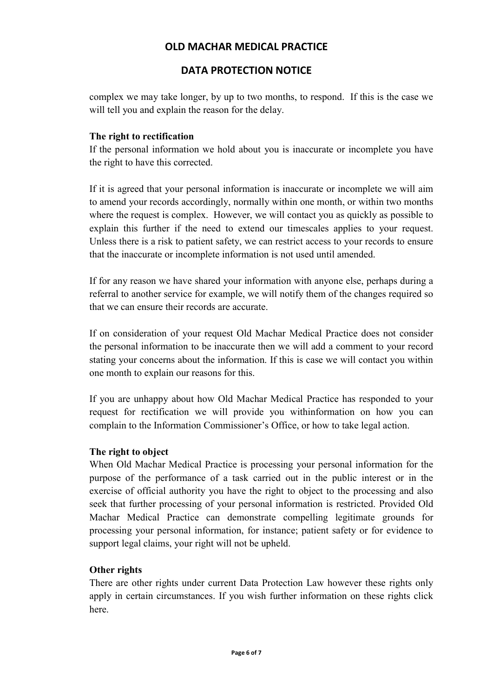# DATA PROTECTION NOTICE

complex we may take longer, by up to two months, to respond. If this is the case we will tell you and explain the reason for the delay.

## The right to rectification

If the personal information we hold about you is inaccurate or incomplete you have the right to have this corrected.

If it is agreed that your personal information is inaccurate or incomplete we will aim to amend your records accordingly, normally within one month, or within two months where the request is complex. However, we will contact you as quickly as possible to explain this further if the need to extend our timescales applies to your request. Unless there is a risk to patient safety, we can restrict access to your records to ensure that the inaccurate or incomplete information is not used until amended.

If for any reason we have shared your information with anyone else, perhaps during a referral to another service for example, we will notify them of the changes required so that we can ensure their records are accurate.

If on consideration of your request Old Machar Medical Practice does not consider the personal information to be inaccurate then we will add a comment to your record stating your concerns about the information. If this is case we will contact you within one month to explain our reasons for this.

If you are unhappy about how Old Machar Medical Practice has responded to your request for rectification we will provide you withinformation on how you can complain to the Information Commissioner's Office, or how to take legal action.

## The right to object

When Old Machar Medical Practice is processing your personal information for the purpose of the performance of a task carried out in the public interest or in the exercise of official authority you have the right to object to the processing and also seek that further processing of your personal information is restricted. Provided Old Machar Medical Practice can demonstrate compelling legitimate grounds for processing your personal information, for instance; patient safety or for evidence to support legal claims, your right will not be upheld.

## Other rights

There are other rights under current Data Protection Law however these rights only apply in certain circumstances. If you wish further information on these rights click here.